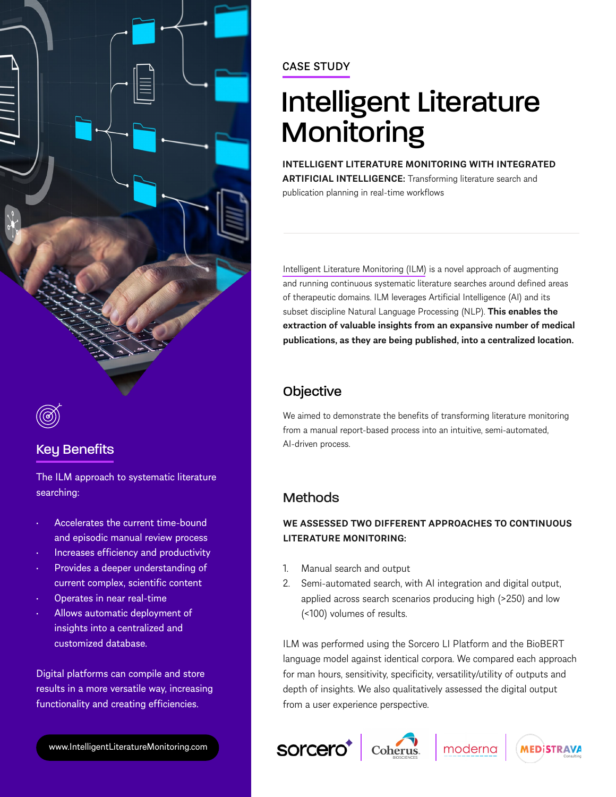

# Key Benefits

The ILM approach to systematic literature searching:

- Accelerates the current time-bound and episodic manual review process
- Increases efficiency and productivity
- Provides a deeper understanding of current complex, scientific content
- Operates in near real-time
- Allows automatic deployment of insights into a centralized and customized database.

Digital platforms can compile and store results in a more versatile way, increasing functionality and creating efficiencies.

[www.IntelligentLiteratureMonitoring.com](https://www.sorcero.com/intelligentliteraturemonitoring)

## CASE STUDY

# Intelligent Literature **Monitoring**

**INTELLIGENT LITERATURE MONITORING WITH INTEGRATED ARTIFICIAL INTELLIGENCE:** Transforming literature search and publication planning in real-time workflows

Intelligent Literature Monitoring (ILM) is a novel approach of augmenting and running continuous systematic literature searches around defined areas of therapeutic domains. ILM leverages Artificial Intelligence (AI) and its subset discipline Natural Language Processing (NLP). **This enables the extraction of valuable insights from an expansive number of medical publications, as they are being published, into a centralized location.**

# **Objective**

We aimed to demonstrate the benefits of transforming literature monitoring from a manual report-based process into an intuitive, semi-automated, AI-driven process.

# **Methods**

## **WE ASSESSED TWO DIFFERENT APPROACHES TO CONTINUOUS LITERATURE MONITORING:**

- 1. Manual search and output
- 2. Semi-automated search, with AI integration and digital output, applied across search scenarios producing high (>250) and low (<100) volumes of results.

ILM was performed using the Sorcero LI Platform and the BioBERT language model against identical corpora. We compared each approach for man hours, sensitivity, specificity, versatility/utility of outputs and depth of insights. We also qualitatively assessed the digital output from a user experience perspective.







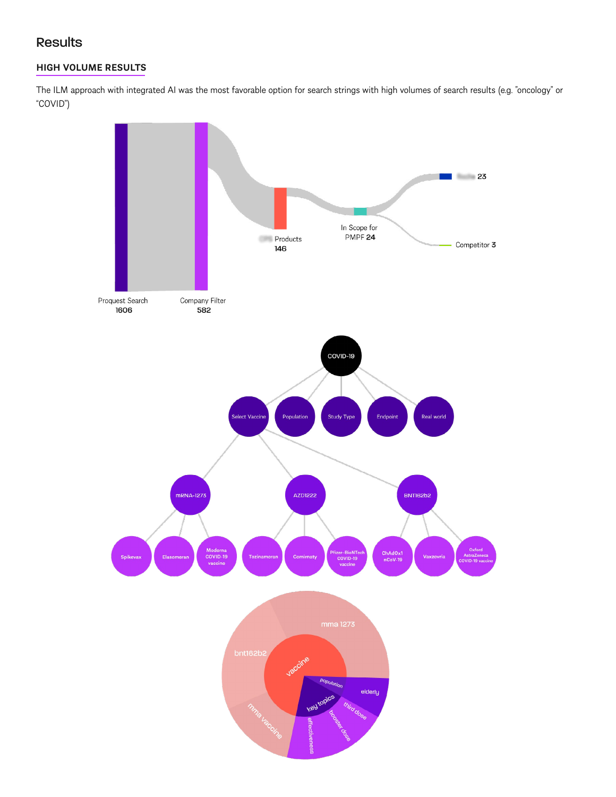## Results

## **HIGH VOLUME RESULTS**

The ILM approach with integrated AI was the most favorable option for search strings with high volumes of search results (e.g. "oncology" or "COVID")

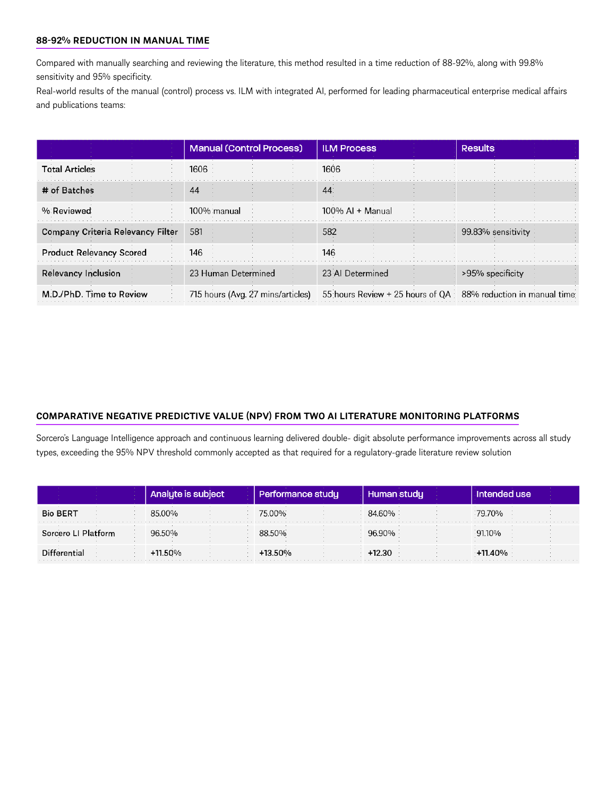#### **88-92% REDUCTION IN MANUAL TIME**

Compared with manually searching and reviewing the literature, this method resulted in a time reduction of 88-92%, along with 99.8% sensitivity and 95% specificity.

Real-world results of the manual (control) process vs. ILM with integrated AI, performed for leading pharmaceutical enterprise medical affairs and publications teams:

|                                   | <b>Manual (Control Process)</b>   | <b>ILM Process</b>                                            | <b>Results</b>     |
|-----------------------------------|-----------------------------------|---------------------------------------------------------------|--------------------|
| <b>Total Articles</b>             | 1606                              | 1606                                                          |                    |
| # of Batches                      | 44                                | 44                                                            |                    |
| % Reviewed                        | 100% manual                       | $100\%$ Al + Manual                                           |                    |
| Company Criteria Relevancy Filter | 581                               | 582                                                           | 99.83% sensitivity |
| <b>Product Relevancy Scored</b>   | 146                               | 146                                                           |                    |
| <b>Relevancy Inclusion</b>        | 23 Human Determined               | 23 Al Determined                                              | >95% specificity   |
| M.D./PhD. Time to Review          | 715 hours (Avg. 27 mins/articles) | 55 hours Review + 25 hours of QA 88% reduction in manual time |                    |

#### **COMPARATIVE NEGATIVE PREDICTIVE VALUE (NPV) FROM TWO AI LITERATURE MONITORING PLATFORMS**

Sorcero's Language Intelligence approach and continuous learning delivered double- digit absolute performance improvements across all study types, exceeding the 95% NPV threshold commonly accepted as that required for a regulatory-grade literature review solution

|                     | <b>Jbiect</b> | formance studu, | Human studu | Intended use |
|---------------------|---------------|-----------------|-------------|--------------|
| <b>Bio BERT</b>     | 8500%         | 75.00%          | 84.60%      | 79.70%       |
| Sorcero LI Platform | 96.50%        | 88.50%          | 96,90%      | 91.10%       |
| Differential        | $+11.50%$     | $-13.50\%$      | ⊦12.30      | +11.40%      |